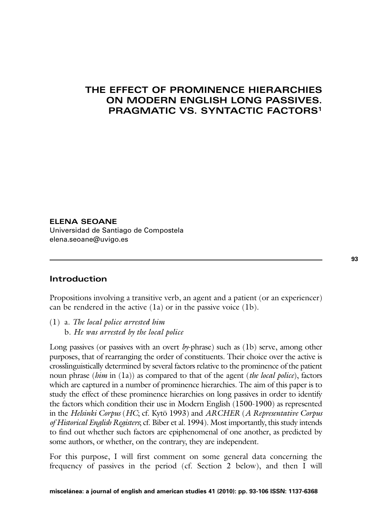## **THE EFFECT OF PROMINENCE HIERARCHIES ON MODERN ENGLISH LONG PASSIVES. PRAGMATIC VS. SYNTACTIC FACTORS1**

**ELENA SEOANE** Universidad de Santiago de Compostela elena.seoane@uvigo.es

## **Introduction**

Propositions involving a transitive verb, an agent and a patient (or an experiencer) can be rendered in the active (1a) or in the passive voice (1b).

(1) a. *The local police arrested him* b. *He was arrested by the local police* 

Long passives (or passives with an overt *by*-phrase) such as (1b) serve, among other purposes, that of rearranging the order of constituents. Their choice over the active is crosslinguistically determined by several factors relative to the prominence of the patient noun phrase (*him* in (1a)) as compared to that of the agent (*the local police*), factors which are captured in a number of prominence hierarchies. The aim of this paper is to study the effect of these prominence hierarchies on long passives in order to identify the factors which condition their use in Modern English (1500-1900) as represented in the *Helsinki Corpus* (*HC*; cf. Kytö 1993) and *ARCHER* (*A Representative Corpus of Historical English Registers*; cf. Biber et al. 1994). Most importantly, this study intends to find out whether such factors are epiphenomenal of one another, as predicted by some authors, or whether, on the contrary, they are independent.

For this purpose, I will first comment on some general data concerning the frequency of passives in the period (cf. Section 2 below), and then I will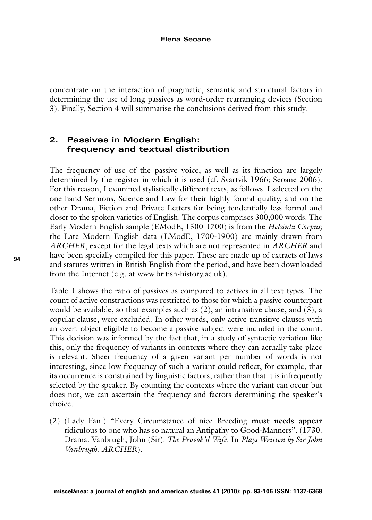concentrate on the interaction of pragmatic, semantic and structural factors in determining the use of long passives as word-order rearranging devices (Section 3). Finally, Section 4 will summarise the conclusions derived from this study.

## **2. Passives in Modern English: frequency and textual distribution**

The frequency of use of the passive voice, as well as its function are largely determined by the register in which it is used (cf. Svartvik 1966; Seoane 2006). For this reason, I examined stylistically different texts, as follows. I selected on the one hand Sermons, Science and Law for their highly formal quality, and on the other Drama, Fiction and Private Letters for being tendentially less formal and closer to the spoken varieties of English. The corpus comprises 300,000 words. The Early Modern English sample (EModE, 1500-1700) is from the *Helsinki Corpus;* the Late Modern English data (LModE, 1700-1900) are mainly drawn from *ARCHER*, except for the legal texts which are not represented in *ARCHER* and have been specially compiled for this paper. These are made up of extracts of laws and statutes written in British English from the period, and have been downloaded from the Internet (e.g. at www.british-history.ac.uk).

Table 1 shows the ratio of passives as compared to actives in all text types. The count of active constructions was restricted to those for which a passive counterpart would be available, so that examples such as  $(2)$ , an intransitive clause, and  $(3)$ , a copular clause, were excluded. In other words, only active transitive clauses with an overt object eligible to become a passive subject were included in the count. This decision was informed by the fact that, in a study of syntactic variation like this, only the frequency of variants in contexts where they can actually take place is relevant. Sheer frequency of a given variant per number of words is not interesting, since low frequency of such a variant could reflect, for example, that its occurrence is constrained by linguistic factors, rather than that it is infrequently selected by the speaker. By counting the contexts where the variant can occur but does not, we can ascertain the frequency and factors determining the speaker's choice.

(2) (Lady Fan.) "Every Circumstance of nice Breeding **must needs appear** ridiculous to one who has so natural an Antipathy to Good-Manners"*.* (1730. Drama. Vanbrugh, John (Sir). *The Provok'd Wife*. In *Plays Written by Sir John Vanbrugh*. *ARCHER*).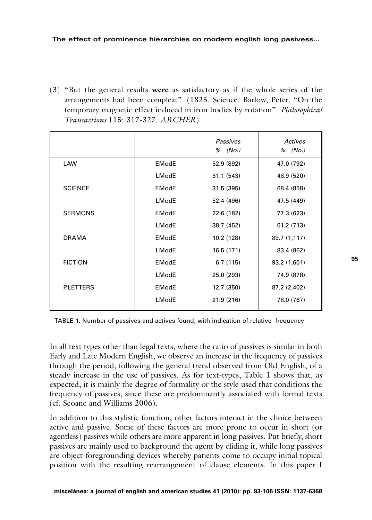(3) "But the general results **were** as satisfactory as if the whole series of the arrangements had been compleat"*.* (1825. Science. Barlow, Peter. "On the temporary magnetic effect induced in iron bodies by rotation". *Philosophical Transactions* 115: 317-327. *ARCHER*)

|                  |              | Passives<br>% (No.) | Actives<br>% (No.) |
|------------------|--------------|---------------------|--------------------|
| LAW              | <b>EModE</b> | 52.9 (892)          | 47.0 (792)         |
|                  | <b>LModE</b> | 51.1 (543)          | 48.9 (520)         |
| <b>SCIENCE</b>   | <b>EModE</b> | 31.5 (395)          | 68.4 (858)         |
|                  | LModE        | 52.4 (496)          | 47.5 (449)         |
| <b>SERMONS</b>   | <b>EModE</b> | 22.6 (182)          | 77.3 (623)         |
|                  | LModE        | 38.7 (452)          | 61.2 (713)         |
| <b>DRAMA</b>     | <b>EModE</b> | 10.2 (128)          | 89.7 (1,117)       |
|                  | LModE        | 16.5 (171)          | 83.4 (862)         |
| <b>FICTION</b>   | <b>EModE</b> | 6.7(115)            | 93.2 (1,601)       |
|                  | LModE        | 25.0 (293)          | 74.9 (878)         |
| <b>P.LETTERS</b> | <b>EModE</b> | 12.7 (350)          | 87.2 (2,402)       |
|                  | LModE        | 21.9 (216)          | 78.0 (767)         |

TABLE 1. Number of passives and actives found, with indication of relative frequency

In all text types other than legal texts, where the ratio of passives is similar in both Early and Late Modern English, we observe an increase in the frequency of passives through the period, following the general trend observed from Old English, of a steady increase in the use of passives. As for text-types, Table 1 shows that, as expected, it is mainly the degree of formality or the style used that conditions the frequency of passives, since these are predominantly associated with formal texts (cf. Seoane and Williams 2006).

In addition to this stylistic function, other factors interact in the choice between active and passive. Some of these factors are more prone to occur in short (or agentless) passives while others are more apparent in long passives. Put briefly, short passives are mainly used to background the agent by eliding it, while long passives are object-foregrounding devices whereby patients come to occupy initial topical position with the resulting rearrangement of clause elements. In this paper I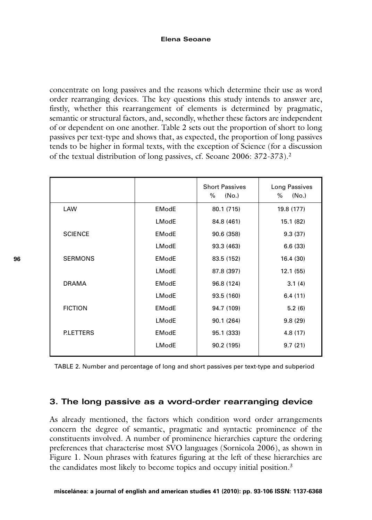### **Elena Seoane**

concentrate on long passives and the reasons which determine their use as word order rearranging devices. The key questions this study intends to answer are, firstly, whether this rearrangement of elements is determined by pragmatic, semantic or structural factors, and, secondly, whether these factors are independent of or dependent on one another. Table 2 sets out the proportion of short to long passives per text-type and shows that, as expected, the proportion of long passives tends to be higher in formal texts, with the exception of Science (for a discussion of the textual distribution of long passives, cf. Seoane 2006: 372-373).2

|                 |              | <b>Short Passives</b><br>%<br>(No.) | Long Passives<br>%<br>(No.) |
|-----------------|--------------|-------------------------------------|-----------------------------|
| LAW             | <b>EModE</b> | 80.1 (715)                          | 19.8 (177)                  |
|                 | LModE        | 84.8 (461)                          | 15.1 (82)                   |
| <b>SCIENCE</b>  | <b>EModE</b> | 90.6 (358)                          | 9.3(37)                     |
|                 | LModE        | 93.3 (463)                          | 6.6(33)                     |
| <b>SERMONS</b>  | <b>EModE</b> | 83.5 (152)                          | 16.4 (30)                   |
|                 | <b>LModE</b> | 87.8 (397)                          | 12.1(55)                    |
| <b>DRAMA</b>    | <b>EModE</b> | 96.8 (124)                          | 3.1(4)                      |
|                 | LModE        | 93.5 (160)                          | 6.4(11)                     |
| <b>FICTION</b>  | <b>EModE</b> | 94.7 (109)                          | 5.2(6)                      |
|                 | LModE        | 90.1 (264)                          | 9.8(29)                     |
| <b>PLETTERS</b> | <b>EModE</b> | 95.1 (333)                          | 4.8(17)                     |
|                 | LModE        | 90.2 (195)                          | 9.7(21)                     |

TABLE 2. Number and percentage of long and short passives per text-type and subperiod

### **3. The long passive as a word-order rearranging device**

As already mentioned, the factors which condition word order arrangements concern the degree of semantic, pragmatic and syntactic prominence of the constituents involved. A number of prominence hierarchies capture the ordering preferences that characterise most SVO languages (Sornicola 2006), as shown in Figure 1. Noun phrases with features figuring at the left of these hierarchies are the candidates most likely to become topics and occupy initial position.<sup>3</sup>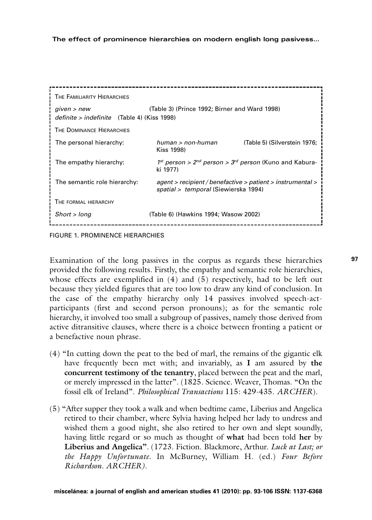| THE FAMILIARITY HIERARCHIES                                |                                                                                                    |  |
|------------------------------------------------------------|----------------------------------------------------------------------------------------------------|--|
| given > new<br>definite > indefinite (Table 4) (Kiss 1998) | (Table 3) (Prince 1992; Birner and Ward 1998)                                                      |  |
| THE DOMINANCE HIERARCHIES                                  |                                                                                                    |  |
| The personal hierarchy:                                    | $human > non-human$<br>(Table 5) (Silverstein 1976;<br>Kiss 1998)                                  |  |
| The empathy hierarchy:                                     | $1^{st}$ person > $2^{nd}$ person > $3^{rd}$ person (Kuno and Kabura-<br>ki 1977)                  |  |
| The semantic role hierarchy:                               | agent > recipient / benefactive > patient > instrumental ><br>spatial > temporal (Siewierska 1994) |  |
| THE FORMAL HIERARCHY                                       |                                                                                                    |  |
| Short > long                                               | (Table 6) (Hawkins 1994; Wasow 2002)                                                               |  |
|                                                            |                                                                                                    |  |

FIGURE 1. PROMINENCE HIERARCHIES

Examination of the long passives in the corpus as regards these hierarchies provided the following results. Firstly, the empathy and semantic role hierarchies, whose effects are exemplified in  $(4)$  and  $(5)$  respectively, had to be left out because they yielded figures that are too low to draw any kind of conclusion. In the case of the empathy hierarchy only 14 passives involved speech-actparticipants (first and second person pronouns); as for the semantic role hierarchy, it involved too small a subgroup of passives, namely those derived from active ditransitive clauses, where there is a choice between fronting a patient or a benefactive noun phrase.

- (4) "In cutting down the peat to the bed of marl, the remains of the gigantic elk have frequently been met with; and invariably, as **I** am assured by **the concurrent testimony of the tenantry**, placed between the peat and the marl, or merely impressed in the latter"*.* (1825. Science. Weaver, Thomas. "On the fossil elk of Ireland". *Philosophical Transactions* 115: 429-435. *ARCHER*).
- (5) "After supper they took a walk and when bedtime came, Liberius and Angelica retired to their chamber, where Sylvia having helped her lady to undress and wished them a good night, she also retired to her own and slept soundly, having little regard or so much as thought of **what** had been told **her** by **Liberius and Angelica"**. (1723. Fiction. Blackmore, Arthur. *Luck at Last; or the Happy Unfortunate.* In McBurney, William H. (ed.) *Four Before Richardson. ARCHER).*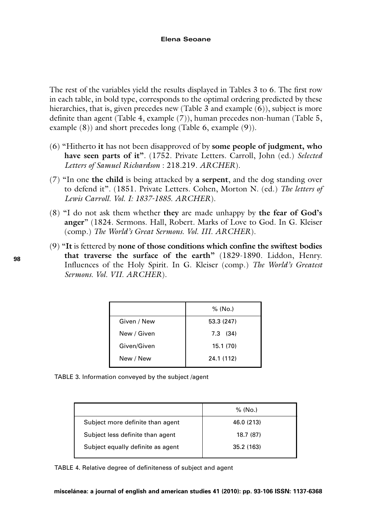The rest of the variables yield the results displayed in Tables 3 to 6. The first row in each table, in bold type, corresponds to the optimal ordering predicted by these hierarchies, that is, given precedes new (Table 3 and example (6)), subject is more definite than agent (Table 4, example (7)), human precedes non-human (Table 5, example  $(8)$ ) and short precedes long (Table 6, example  $(9)$ ).

- (6) "Hitherto **it** has not been disapproved of by **some people of judgment, who have seen parts of it"**. (1752. Private Letters. Carroll, John (ed.) *Selected Letters of Samuel Richardson* : 218.219*. ARCHER*).
- (7) "In one **the child** is being attacked by **a serpent**, and the dog standing over to defend it". (1851. Private Letters. Cohen, Morton N. (ed.) *The letters of Lewis Carroll. Vol. I: 1837-1885. ARCHER*).
- (8) "I do not ask them whether **they** are made unhappy by **the fear of God's anger**" (1824. Sermons. Hall, Robert. Marks of Love to God. In G. Kleiser (comp.) *The World's Great Sermons. Vol. III. ARCHER*).
- (9) "**It** is fettered by **none of those conditions which confine the swiftest bodies that traverse the surface of the earth"** (1829-1890. Liddon, Henry. Influences of the Holy Spirit. In G. Kleiser (comp.) *The World's Greatest Sermons. Vol. VII. ARCHER*).

|             | % (No.)    |
|-------------|------------|
| Given / New | 53.3 (247) |
| New / Given | $7.3$ (34) |
| Given/Given | 15.1(70)   |
| New / New   | 24.1 (112) |

|  | TABLE 3. Information conveyed by the subject /agent |  |  |  |  |
|--|-----------------------------------------------------|--|--|--|--|
|--|-----------------------------------------------------|--|--|--|--|

|                                   | % (No.)    |
|-----------------------------------|------------|
| Subject more definite than agent  | 46.0 (213) |
| Subject less definite than agent  | 18.7 (87)  |
| Subject equally definite as agent | 35.2 (163) |

TABLE 4. Relative degree of definiteness of subject and agent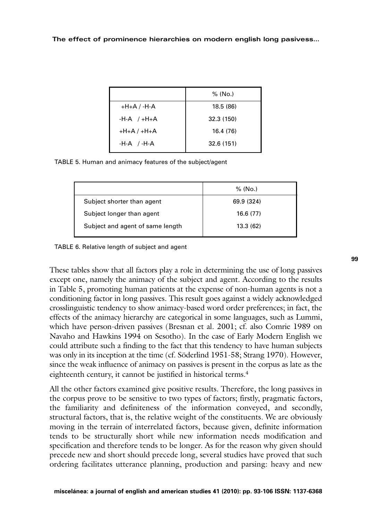|                 | % (No.)    |
|-----------------|------------|
| $+H+A$ / $-H-A$ | 18.5 (86)  |
| $-H-A$ / $+H+A$ | 32.3 (150) |
| $+H+A$ / $+H+A$ | 16.4 (76)  |
| $-H-A$ /-H-A    | 32.6 (151) |

TABLE 5. Human and animacy features of the subject/agent

| % (No.)    |
|------------|
| 69.9 (324) |
| 16.6 (77)  |
| 13.3(62)   |
|            |

TABLE 6. Relative length of subject and agent

These tables show that all factors play a role in determining the use of long passives except one, namely the animacy of the subject and agent. According to the results in Table 5, promoting human patients at the expense of non-human agents is not a conditioning factor in long passives. This result goes against a widely acknowledged crosslinguistic tendency to show animacy-based word order preferences; in fact, the effects of the animacy hierarchy are categorical in some languages, such as Lummi, which have person-driven passives (Bresnan et al. 2001; cf. also Comrie 1989 on Navaho and Hawkins 1994 on Sesotho). In the case of Early Modern English we could attribute such a finding to the fact that this tendency to have human subjects was only in its inception at the time (cf. Söderlind 1951-58; Strang 1970). However, since the weak influence of animacy on passives is present in the corpus as late as the eighteenth century, it cannot be justified in historical terms.<sup>4</sup>

All the other factors examined give positive results. Therefore, the long passives in the corpus prove to be sensitive to two types of factors; firstly, pragmatic factors, the familiarity and definiteness of the information conveyed, and secondly, structural factors, that is, the relative weight of the constituents. We are obviously moving in the terrain of interrelated factors, because given, definite information tends to be structurally short while new information needs modification and specification and therefore tends to be longer. As for the reason why given should precede new and short should precede long, several studies have proved that such ordering facilitates utterance planning, production and parsing: heavy and new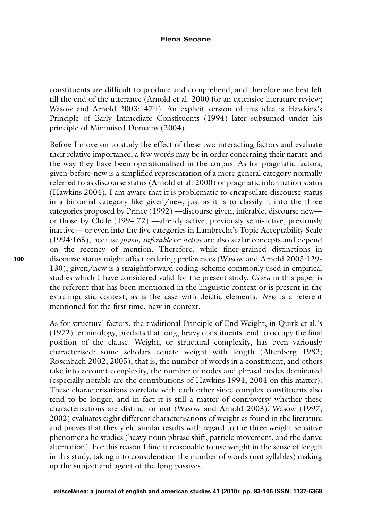#### **Elena Seoane**

constituents are difficult to produce and comprehend, and therefore are best left till the end of the utterance (Arnold et al. 2000 for an extensive literature review; Wasow and Arnold 2003:147ff). An explicit version of this idea is Hawkins's Principle of Early Immediate Constituents (1994) later subsumed under his principle of Minimised Domains (2004).

Before I move on to study the effect of these two interacting factors and evaluate their relative importance, a few words may be in order concerning their nature and the way they have been operationalised in the corpus. As for pragmatic factors, given-before-new is a simplified representation of a more general category normally referred to as discourse status (Arnold et al. 2000) or pragmatic information status (Hawkins 2004). I am aware that it is problematic to encapsulate discourse status in a binomial category like given/new, just as it is to classify it into the three categories proposed by Prince (1992) —discourse given, inferable, discourse new or those by Chafe (1994:72) —already active, previously semi-active, previously inactive— or even into the five categories in Lambrecht's Topic Acceptability Scale (1994:165), because *given, inferable* or *active* are also scalar concepts and depend on the recency of mention. Therefore, while finer-grained distinctions in discourse status might affect ordering preferences (Wasow and Arnold 2003:129- 130), given/new is a straightforward coding-scheme commonly used in empirical studies which I have considered valid for the present study. *Given* in this paper is the referent that has been mentioned in the linguistic context or is present in the extralinguistic context, as is the case with deictic elements. *New* is a referent mentioned for the first time, new in context.

As for structural factors, the traditional Principle of End Weight, in Quirk et al.'s (1972) terminology, predicts that long, heavy constituents tend to occupy the final position of the clause. Weight, or structural complexity, has been variously characterised: some scholars equate weight with length (Altenberg 1982; Rosenbach 2002, 2005), that is, the number of words in a constituent, and others take into account complexity, the number of nodes and phrasal nodes dominated (especially notable are the contributions of Hawkins 1994, 2004 on this matter). These characterisations correlate with each other since complex constituents also tend to be longer, and in fact it is still a matter of controversy whether these characterisations are distinct or not (Wasow and Arnold 2003). Wasow (1997, 2002) evaluates eight different characterisations of weight as found in the literature and proves that they yield similar results with regard to the three weight-sensitive phenomena he studies (heavy noun phrase shift, particle movement, and the dative alternation). For this reason I find it reasonable to use weight in the sense of length in this study, taking into consideration the number of words (not syllables) making up the subject and agent of the long passives.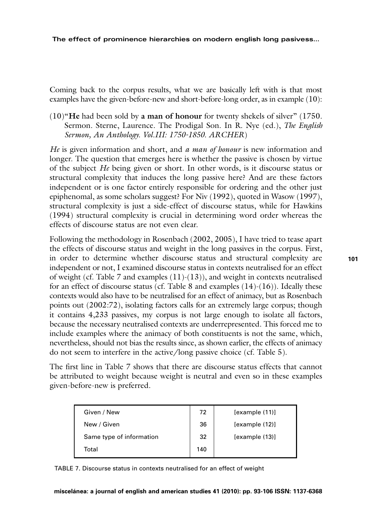**The effect of prominence hierarchies on modern english long pasivess…**

Coming back to the corpus results, what we are basically left with is that most examples have the given-before-new and short-before-long order, as in example (10):

(10)"**He** had been sold by **a man of honour** for twenty shekels of silver" (1750. Sermon. Sterne, Laurence. The Prodigal Son. In R. Nye (ed.), *The English Sermon, An Anthology. Vol.III: 1750-1850. ARCHER*)

*He* is given information and short, and *a man of honour* is new information and longer. The question that emerges here is whether the passive is chosen by virtue of the subject *He* being given or short. In other words, is it discourse status or structural complexity that induces the long passive here? And are these factors independent or is one factor entirely responsible for ordering and the other just epiphenomal, as some scholars suggest? For Niv (1992), quoted in Wasow (1997), structural complexity is just a side-effect of discourse status, while for Hawkins (1994) structural complexity is crucial in determining word order whereas the effects of discourse status are not even clear.

Following the methodology in Rosenbach (2002, 2005), I have tried to tease apart the effects of discourse status and weight in the long passives in the corpus. First, in order to determine whether discourse status and structural complexity are independent or not, I examined discourse status in contexts neutralised for an effect of weight (cf. Table 7 and examples (11)-(13)), and weight in contexts neutralised for an effect of discourse status (cf. Table 8 and examples  $(14)-(16)$ ). Ideally these contexts would also have to be neutralised for an effect of animacy, but as Rosenbach points out (2002:72), isolating factors calls for an extremely large corpus; though it contains 4,233 passives, my corpus is not large enough to isolate all factors, because the necessary neutralised contexts are underrepresented. This forced me to include examples where the animacy of both constituents is not the same, which, nevertheless, should not bias the results since, as shown earlier, the effects of animacy do not seem to interfere in the active/long passive choice (cf. Table 5).

The first line in Table 7 shows that there are discourse status effects that cannot be attributed to weight because weight is neutral and even so in these examples given-before-new is preferred.

| Given / New              | 72  | [example(11)]  |
|--------------------------|-----|----------------|
| New / Given              | 36  | [example(12)]  |
| Same type of information | 32  | [example (13)] |
| Total                    | 140 |                |

TABLE 7. Discourse status in contexts neutralised for an effect of weight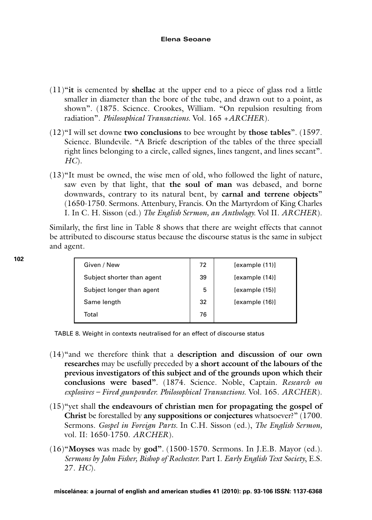#### **Elena Seoane**

- (11)"**it** is cemented by **shellac** at the upper end to a piece of glass rod a little smaller in diameter than the bore of the tube, and drawn out to a point, as shown". (1875. Science. Crookes, William. "On repulsion resulting from radiation". *Philosophical Transactions.* Vol. 165 +*ARCHER*).
- (12)"I will set downe **two conclusions** to bee wrought by **those tables**". (1597. Science. Blundevile. "A Briefe description of the tables of the three speciall right lines belonging to a circle, called signes, lines tangent, and lines secant". *HC*).
- (13)"It must be owned, the wise men of old, who followed the light of nature, saw even by that light, that **the soul of man** was debased, and borne downwards, contrary to its natural bent, by **carnal and terrene objects**" (1650-1750. Sermons. Attenbury, Francis. On the Martyrdom of King Charles I. In C. H. Sisson (ed.) *The English Sermon, an Anthology.* Vol II. *ARCHER*).

Similarly, the first line in Table 8 shows that there are weight effects that cannot be attributed to discourse status because the discourse status is the same in subject and agent.

| Given / New                | 72 | [example(11)]  |
|----------------------------|----|----------------|
| Subject shorter than agent | 39 | [example (14)] |
| Subject longer than agent  | 5  | [example (15)] |
| Same length                | 32 | [example (16)] |
| Total                      | 76 |                |

TABLE 8. Weight in contexts neutralised for an effect of discourse status

- (14)"and we therefore think that a **description and discussion of our own researches** may be usefully preceded by **a short account of the labours of the previous investigators of this subject and of the grounds upon which their conclusions were based"***.* (1874. Science. Noble, Captain*. Research on explosives – Fired gunpowder. Philosophical Transactions*. Vol. 165. *ARCHER*).
- (15)"yet shall **the endeavours of christian men for propagating the gospel of Christ** be forestalled by **any suppositions or conjectures** whatsoever?" (1700. Sermons. *Gospel in Foreign Parts.* In C.H. Sisson (ed.), *The English Sermon,* vol. II: 1650-1750. *ARCHER*).
- (16)"**Moyses** was made by **god"***.* (1500-1570. Sermons. In J.E.B. Mayor (ed.). *Sermons by John Fisher, Bishop of Rochester.* Part I. *Early English Text Society*, E.S. 27. *HC*).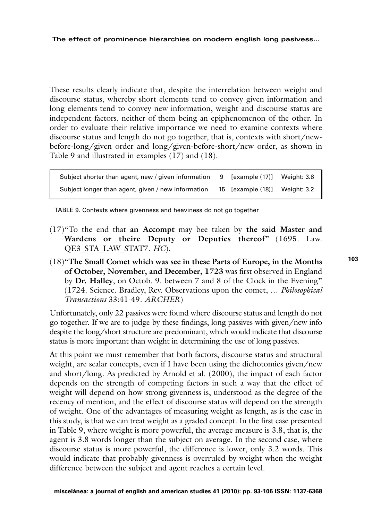**The effect of prominence hierarchies on modern english long pasivess…**

These results clearly indicate that, despite the interrelation between weight and discourse status, whereby short elements tend to convey given information and long elements tend to convey new information, weight and discourse status are independent factors, neither of them being an epiphenomenon of the other. In order to evaluate their relative importance we need to examine contexts where discourse status and length do not go together, that is, contexts with short/newbefore-long/given order and long/given-before-short/new order, as shown in Table 9 and illustrated in examples (17) and (18).

Subject shorter than agent, new / given information 9 [example (17)] Weight: 3.8 Subject longer than agent, given / new information 15 [example (18)] Weight: 3.2

TABLE 9. Contexts where givenness and heaviness do not go together

- (17)"To the end that **an Accompt** may bee taken by **the said Master and Wardens or theire Deputy or Deputies thereof**" (1695. Law. QE3\_STA\_LAW\_STAT7. *HC*).
- (18)"**The Small Comet which was see in these Parts of Europe, in the Months of October, November, and December, 1723** was first observed in England by **Dr. Halley**, on Octob. 9. between 7 and 8 of the Clock in the Evening" (1724. Science. Bradley, Rev. Observations upon the comet, … *Philosophical Transactions* 33:41-49. *ARCHER*)

Unfortunately, only 22 passives were found where discourse status and length do not go together. If we are to judge by these findings, long passives with given/new info despite the long/short structure are predominant, which would indicate that discourse status is more important than weight in determining the use of long passives.

At this point we must remember that both factors, discourse status and structural weight, are scalar concepts, even if I have been using the dichotomies given/new and short/long. As predicted by Arnold et al. (2000), the impact of each factor depends on the strength of competing factors in such a way that the effect of weight will depend on how strong givenness is, understood as the degree of the recency of mention, and the effect of discourse status will depend on the strength of weight. One of the advantages of measuring weight as length, as is the case in this study, is that we can treat weight as a graded concept. In the first case presented in Table 9, where weight is more powerful, the average measure is 3.8, that is, the agent is 3.8 words longer than the subject on average. In the second case, where discourse status is more powerful, the difference is lower, only 3.2 words. This would indicate that probably givenness is overruled by weight when the weight difference between the subject and agent reaches a certain level.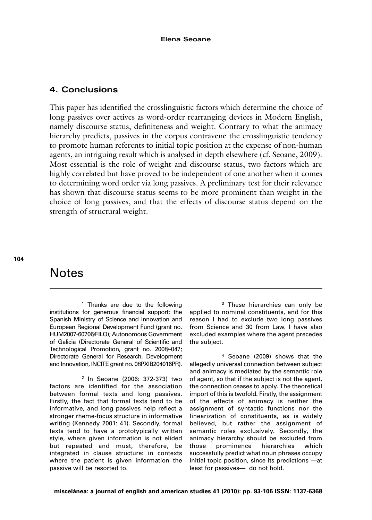## **4. Conclusions**

This paper has identified the crosslinguistic factors which determine the choice of long passives over actives as word-order rearranging devices in Modern English, namely discourse status, definiteness and weight. Contrary to what the animacy hierarchy predicts, passives in the corpus contravene the crosslinguistic tendency to promote human referents to initial topic position at the expense of non-human agents, an intriguing result which is analysed in depth elsewhere (cf. Seoane, 2009). Most essential is the role of weight and discourse status, two factors which are highly correlated but have proved to be independent of one another when it comes to determining word order via long passives. A preliminary test for their relevance has shown that discourse status seems to be more prominent than weight in the choice of long passives, and that the effects of discourse status depend on the strength of structural weight.

# **Notes**

<sup>1</sup> Thanks are due to the following institutions for generous financial support: the Spanish Ministry of Science and Innovation and European Regional Development Fund (grant no. HUM2007-60706/FILO); Autonomous Government of Galicia (Directorate General of Scientific and Technological Promotion, grant no. 2008/-047; Directorate General for Research, Development and Innovation, INCITE grant no. 08PXIB204016PR).

<sup>2</sup> In Seoane (2006: 372-373) two factors are identified for the association between formal texts and long passives. Firstly, the fact that formal texts tend to be informative, and long passives help reflect a stronger rheme-focus structure in informative writing (Kennedy 2001: 41). Secondly, formal texts tend to have a prototypically written style, where given information is not elided but repeated and must, therefore, be integrated in clause structure: in contexts where the patient is given information the passive will be resorted to.

<sup>3</sup> These hierarchies can only be applied to nominal constituents, and for this reason I had to exclude two long passives from Science and 30 from Law. I have also excluded examples where the agent precedes the subject.

<sup>4</sup> Seoane (2009) shows that the allegedly universal connection between subject and animacy is mediated by the semantic role of agent, so that if the subject is not the agent, the connection ceases to apply. The theoretical import of this is twofold. Firstly, the assignment of the effects of animacy is neither the assignment of syntactic functions nor the linearization of constituents, as is widely believed, but rather the assignment of semantic roles exclusively. Secondly, the animacy hierarchy should be excluded from those prominence hierarchies which successfully predict what noun phrases occupy initial topic position, since its predictions —at least for passives— do not hold.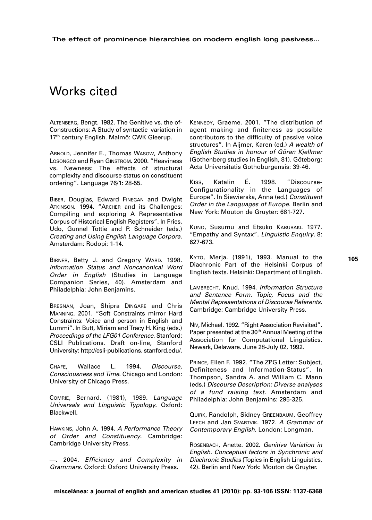# Works cited

ALTENBERG, Bengt. 1982. The Genitive vs. the of-Constructions: A Study of syntactic variation in 17<sup>th</sup> century English. Malmö: CWK Gleerup.

ARNOLD, Jennifer E., Thomas WASOW, Anthony LOSONGCO and Ryan GINSTROM. 2000. "Heaviness vs. Newness: The effects of structural complexity and discourse status on constituent ordering". Language 76/1: 28-55.

BIBER, Douglas, Edward FINEGAN and Dwight ATKINSON. 1994. "ARCHER and its Challenges: Compiling and exploring A Representative Corpus of Historical English Registers". In Fries, Udo, Gunnel Tottie and P. Schneider (eds.) Creating and Using English Language Corpora. Amsterdam: Rodopi: 1-14.

BIRNER, Betty J. and Gregory WARD. 1998. Information Status and Noncanonical Word Order in English (Studies in Language Companion Series, 40). Amsterdam and Philadelphia: John Benjamins.

BRESNAN, Joan, Shipra DINGARE and Chris MANNING. 2001. "Soft Constraints mirror Hard Constraints: Voice and person in English and Lummi". In Butt, Miriam and Tracy H. King (eds.) Proceedings of the LFG01 Conference. Stanford: CSLI Publications. Draft on-line, Stanford University: http://csli-publications. stanford.edu/.

CHAFE, Wallace L. 1994. Discourse, Consciousness and Time. Chicago and London: University of Chicago Press.

COMRIE, Bernard. (1981), 1989. Language Universals and Linguistic Typology. Oxford: Blackwell.

HAWKINS, John A. 1994. A Performance Theory of Order and Constituency. Cambridge: Cambridge University Press.

—. 2004. Efficiency and Complexity in Grammars. Oxford: Oxford University Press.

KENNEDY, Graeme. 2001. "The distribution of agent making and finiteness as possible contributors to the difficulty of passive voice structures". In Aijmer, Karen (ed.) A wealth of English Studies in honour of Göran Kjellmer (Gothenberg studies in English, 81). Göteborg: Acta Universitatis Gothoburgensis: 39-46.

KISS, Katalin É. 1998. "Discourse-Configurationality in the Languages of Europe". In Siewierska, Anna (ed.) Constituent Order in the Languages of Europe. Berlin and New York: Mouton de Gruyter: 681-727.

KUNO, Susumu and Etsuko KABURAKI. 1977. "Empathy and Syntax". Linguistic Enquiry, 8: 627-673.

KYTÖ, Merja. (1991), 1993. Manual to the Diachronic Part of the Helsinki Corpus of English texts. Helsinki: Department of English.

LAMBRECHT, Knud. 1994. Information Structure and Sentence Form. Topic, Focus and the Mental Representations of Discourse Referents. Cambridge: Cambridge University Press.

N<sub>IV</sub>, Michael. 1992. "Right Association Revisited". Paper presented at the 30<sup>th</sup> Annual Meeting of the Association for Computational Linguistics. Newark, Delaware. June 28-July 02, 1992.

PRINCE, Ellen F. 1992. "The ZPG Letter: Subject, Definiteness and Information-Status". In Thompson, Sandra A. and William C. Mann (eds.) Discourse Description: Diverse analyses of a fund raising text. Amsterdam and Philadelphia: John Benjamins: 295-325.

QUIRK, Randolph, Sidney GREENBAUM, Geoffrey LEECH and Jan SVARTVIK. 1972. A Grammar of Contemporary English. London: Longman.

ROSENBACH, Anette. 2002. Genitive Variation in English. Conceptual factors in Synchronic and Diachronic Studies (Topics in English Linguistics, 42). Berlin and New York: Mouton de Gruyter.